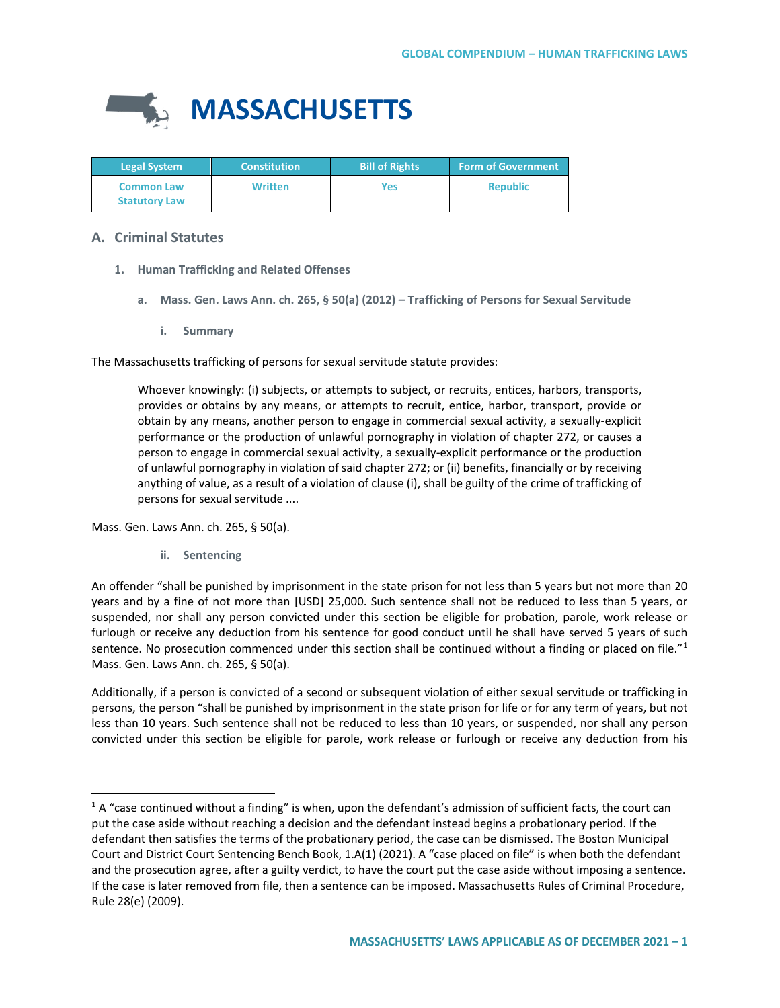

| <b>Legal System</b>                       | <b>Constitution</b> | <b>Bill of Rights</b> | <b>Form of Government</b> |
|-------------------------------------------|---------------------|-----------------------|---------------------------|
| <b>Common Law</b><br><b>Statutory Law</b> | Written             | <b>Yes</b>            | <b>Republic</b>           |

# **A. Criminal Statutes**

- **1. Human Trafficking and Related Offenses**
	- **a. Mass. Gen. Laws Ann. ch. 265, § 50(a) (2012) – Trafficking of Persons for Sexual Servitude**
		- **i. Summary**

The Massachusetts trafficking of persons for sexual servitude statute provides:

Whoever knowingly: (i) subjects, or attempts to subject, or recruits, entices, harbors, transports, provides or obtains by any means, or attempts to recruit, entice, harbor, transport, provide or obtain by any means, another person to engage in commercial sexual activity, a sexually-explicit performance or the production of unlawful pornography in violation of chapter 272, or causes a person to engage in commercial sexual activity, a sexually-explicit performance or the production of unlawful pornography in violation of said chapter 272; or (ii) benefits, financially or by receiving anything of value, as a result of a violation of clause (i), shall be guilty of the crime of trafficking of persons for sexual servitude ....

Mass. Gen. Laws Ann. ch. 265, § 50(a).

**ii. Sentencing**

An offender "shall be punished by imprisonment in the state prison for not less than 5 years but not more than 20 years and by a fine of not more than [USD] 25,000. Such sentence shall not be reduced to less than 5 years, or suspended, nor shall any person convicted under this section be eligible for probation, parole, work release or furlough or receive any deduction from his sentence for good conduct until he shall have served 5 years of such sentence. No prosecution commenced under this section shall be continued without a finding or placed on file."<sup>[1](#page-0-0)</sup> Mass. Gen. Laws Ann. ch. 265, § 50(a).

Additionally, if a person is convicted of a second or subsequent violation of either sexual servitude or trafficking in persons, the person "shall be punished by imprisonment in the state prison for life or for any term of years, but not less than 10 years. Such sentence shall not be reduced to less than 10 years, or suspended, nor shall any person convicted under this section be eligible for parole, work release or furlough or receive any deduction from his

<span id="page-0-0"></span> $1A$  "case continued without a finding" is when, upon the defendant's admission of sufficient facts, the court can put the case aside without reaching a decision and the defendant instead begins a probationary period. If the defendant then satisfies the terms of the probationary period, the case can be dismissed. The Boston Municipal Court and District Court Sentencing Bench Book, 1.A(1) (2021). A "case placed on file" is when both the defendant and the prosecution agree, after a guilty verdict, to have the court put the case aside without imposing a sentence. If the case is later removed from file, then a sentence can be imposed. Massachusetts Rules of Criminal Procedure, Rule 28(e) (2009).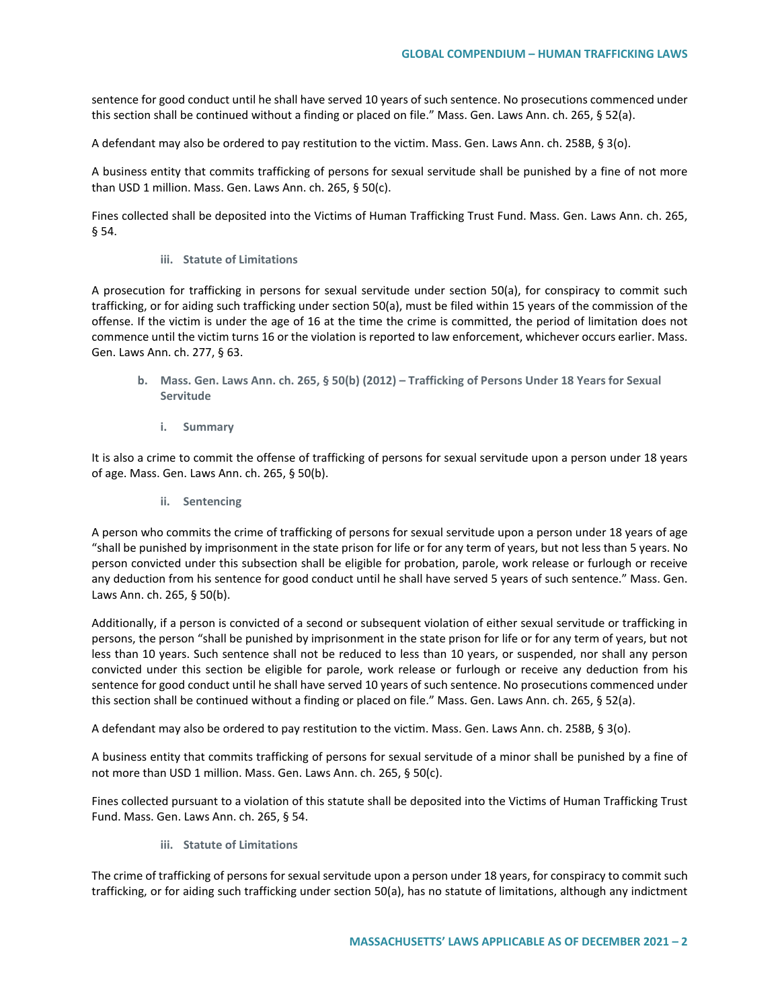sentence for good conduct until he shall have served 10 years of such sentence. No prosecutions commenced under this section shall be continued without a finding or placed on file." Mass. Gen. Laws Ann. ch. 265, § 52(a).

A defendant may also be ordered to pay restitution to the victim. Mass. Gen. Laws Ann. ch. 258B, § 3(o).

A business entity that commits trafficking of persons for sexual servitude shall be punished by a fine of not more than USD 1 million. Mass. Gen. Laws Ann. ch. 265, § 50(c).

Fines collected shall be deposited into the Victims of Human Trafficking Trust Fund. Mass. Gen. Laws Ann. ch. 265, § 54.

#### **iii. Statute of Limitations**

A prosecution for trafficking in persons for sexual servitude under section 50(a), for conspiracy to commit such trafficking, or for aiding such trafficking under section 50(a), must be filed within 15 years of the commission of the offense. If the victim is under the age of 16 at the time the crime is committed, the period of limitation does not commence until the victim turns 16 or the violation is reported to law enforcement, whichever occurs earlier. Mass. Gen. Laws Ann. ch. 277, § 63.

- **b. Mass. Gen. Laws Ann. ch. 265, § 50(b) (2012) – Trafficking of Persons Under 18 Years for Sexual Servitude**
	- **i. Summary**

It is also a crime to commit the offense of trafficking of persons for sexual servitude upon a person under 18 years of age. Mass. Gen. Laws Ann. ch. 265, § 50(b).

**ii. Sentencing**

A person who commits the crime of trafficking of persons for sexual servitude upon a person under 18 years of age "shall be punished by imprisonment in the state prison for life or for any term of years, but not less than 5 years. No person convicted under this subsection shall be eligible for probation, parole, work release or furlough or receive any deduction from his sentence for good conduct until he shall have served 5 years of such sentence." Mass. Gen. Laws Ann. ch. 265, § 50(b).

Additionally, if a person is convicted of a second or subsequent violation of either sexual servitude or trafficking in persons, the person "shall be punished by imprisonment in the state prison for life or for any term of years, but not less than 10 years. Such sentence shall not be reduced to less than 10 years, or suspended, nor shall any person convicted under this section be eligible for parole, work release or furlough or receive any deduction from his sentence for good conduct until he shall have served 10 years of such sentence. No prosecutions commenced under this section shall be continued without a finding or placed on file." Mass. Gen. Laws Ann. ch. 265, § 52(a).

A defendant may also be ordered to pay restitution to the victim. Mass. Gen. Laws Ann. ch. 258B, § 3(o).

A business entity that commits trafficking of persons for sexual servitude of a minor shall be punished by a fine of not more than USD 1 million. Mass. Gen. Laws Ann. ch. 265, § 50(c).

Fines collected pursuant to a violation of this statute shall be deposited into the Victims of Human Trafficking Trust Fund. Mass. Gen. Laws Ann. ch. 265, § 54.

**iii. Statute of Limitations** 

The crime of trafficking of persons for sexual servitude upon a person under 18 years, for conspiracy to commit such trafficking, or for aiding such trafficking under section 50(a), has no statute of limitations, although any indictment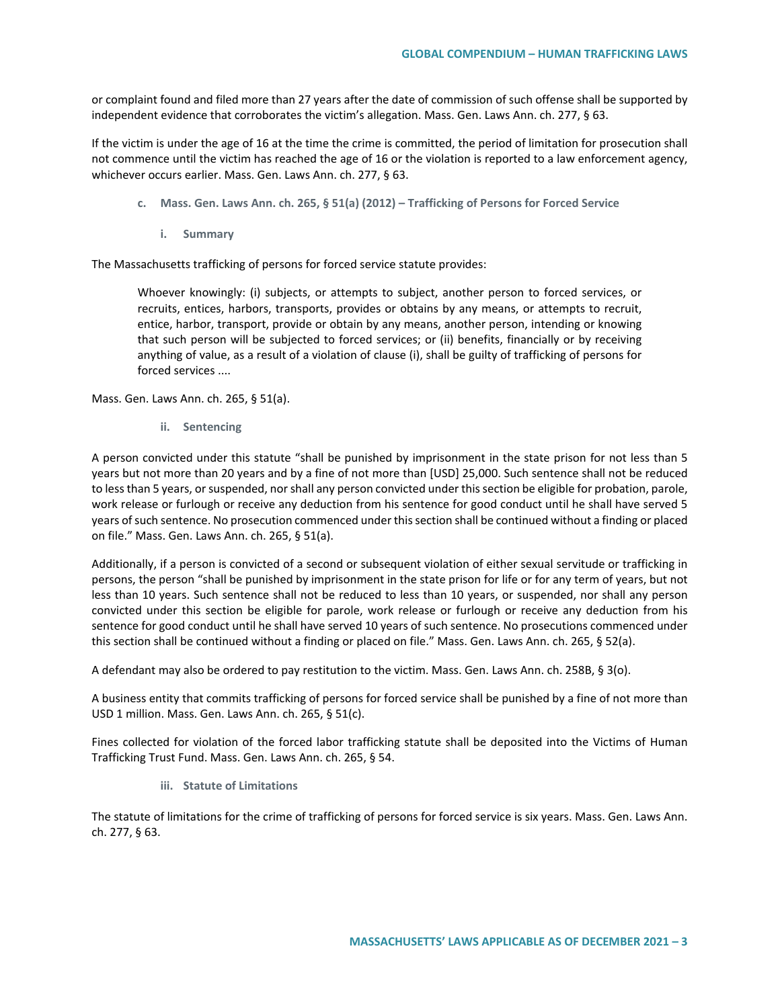or complaint found and filed more than 27 years after the date of commission of such offense shall be supported by independent evidence that corroborates the victim's allegation. Mass. Gen. Laws Ann. ch. 277, § 63.

If the victim is under the age of 16 at the time the crime is committed, the period of limitation for prosecution shall not commence until the victim has reached the age of 16 or the violation is reported to a law enforcement agency, whichever occurs earlier. Mass. Gen. Laws Ann. ch. 277, § 63.

- **c. Mass. Gen. Laws Ann. ch. 265, § 51(a) (2012) – Trafficking of Persons for Forced Service** 
	- **i. Summary**

The Massachusetts trafficking of persons for forced service statute provides:

Whoever knowingly: (i) subjects, or attempts to subject, another person to forced services, or recruits, entices, harbors, transports, provides or obtains by any means, or attempts to recruit, entice, harbor, transport, provide or obtain by any means, another person, intending or knowing that such person will be subjected to forced services; or (ii) benefits, financially or by receiving anything of value, as a result of a violation of clause (i), shall be guilty of trafficking of persons for forced services ....

Mass. Gen. Laws Ann. ch. 265, § 51(a).

**ii. Sentencing** 

A person convicted under this statute "shall be punished by imprisonment in the state prison for not less than 5 years but not more than 20 years and by a fine of not more than [USD] 25,000. Such sentence shall not be reduced to less than 5 years, or suspended, nor shall any person convicted under this section be eligible for probation, parole, work release or furlough or receive any deduction from his sentence for good conduct until he shall have served 5 years of such sentence. No prosecution commenced under this section shall be continued without a finding or placed on file." Mass. Gen. Laws Ann. ch. 265, § 51(a).

Additionally, if a person is convicted of a second or subsequent violation of either sexual servitude or trafficking in persons, the person "shall be punished by imprisonment in the state prison for life or for any term of years, but not less than 10 years. Such sentence shall not be reduced to less than 10 years, or suspended, nor shall any person convicted under this section be eligible for parole, work release or furlough or receive any deduction from his sentence for good conduct until he shall have served 10 years of such sentence. No prosecutions commenced under this section shall be continued without a finding or placed on file." Mass. Gen. Laws Ann. ch. 265, § 52(a).

A defendant may also be ordered to pay restitution to the victim. Mass. Gen. Laws Ann. ch. 258B, § 3(o).

A business entity that commits trafficking of persons for forced service shall be punished by a fine of not more than USD 1 million. Mass. Gen. Laws Ann. ch. 265, § 51(c).

Fines collected for violation of the forced labor trafficking statute shall be deposited into the Victims of Human Trafficking Trust Fund. Mass. Gen. Laws Ann. ch. 265, § 54.

**iii. Statute of Limitations**

The statute of limitations for the crime of trafficking of persons for forced service is six years. Mass. Gen. Laws Ann. ch. 277, § 63.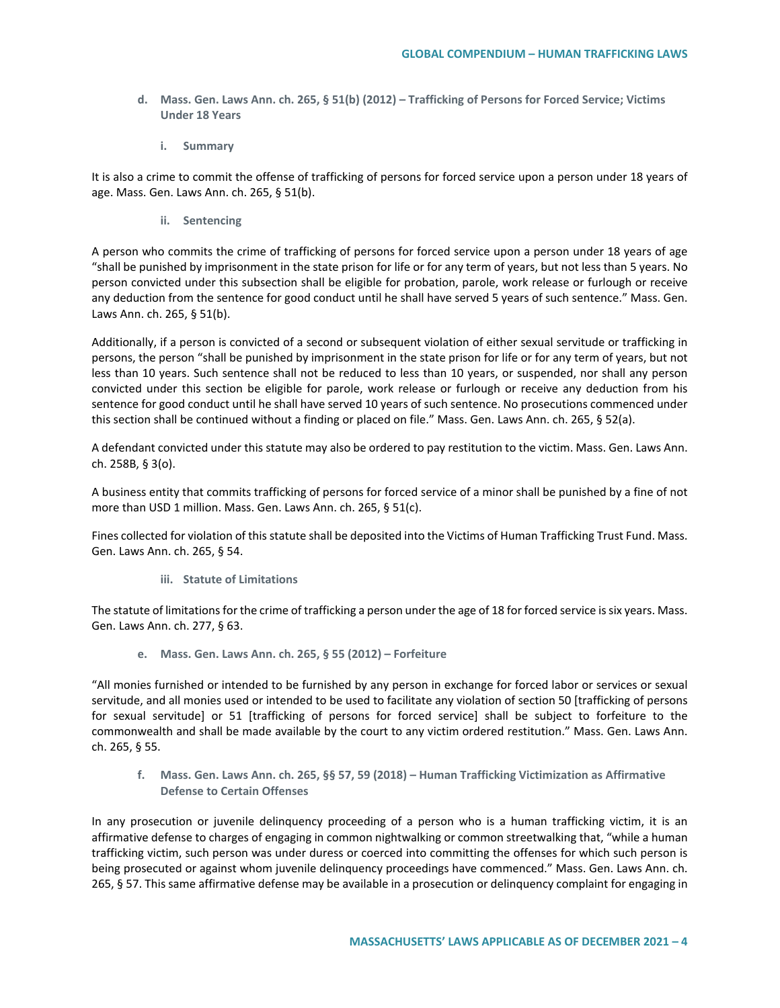- **d. Mass. Gen. Laws Ann. ch. 265, § 51(b) (2012) – Trafficking of Persons for Forced Service; Victims Under 18 Years** 
	- **i. Summary**

It is also a crime to commit the offense of trafficking of persons for forced service upon a person under 18 years of age. Mass. Gen. Laws Ann. ch. 265, § 51(b).

**ii. Sentencing**

A person who commits the crime of trafficking of persons for forced service upon a person under 18 years of age "shall be punished by imprisonment in the state prison for life or for any term of years, but not less than 5 years. No person convicted under this subsection shall be eligible for probation, parole, work release or furlough or receive any deduction from the sentence for good conduct until he shall have served 5 years of such sentence." Mass. Gen. Laws Ann. ch. 265, § 51(b).

Additionally, if a person is convicted of a second or subsequent violation of either sexual servitude or trafficking in persons, the person "shall be punished by imprisonment in the state prison for life or for any term of years, but not less than 10 years. Such sentence shall not be reduced to less than 10 years, or suspended, nor shall any person convicted under this section be eligible for parole, work release or furlough or receive any deduction from his sentence for good conduct until he shall have served 10 years of such sentence. No prosecutions commenced under this section shall be continued without a finding or placed on file." Mass. Gen. Laws Ann. ch. 265, § 52(a).

A defendant convicted under this statute may also be ordered to pay restitution to the victim. Mass. Gen. Laws Ann. ch. 258B, § 3(o).

A business entity that commits trafficking of persons for forced service of a minor shall be punished by a fine of not more than USD 1 million. Mass. Gen. Laws Ann. ch. 265, § 51(c).

Fines collected for violation of this statute shall be deposited into the Victims of Human Trafficking Trust Fund. Mass. Gen. Laws Ann. ch. 265, § 54.

**iii. Statute of Limitations** 

The statute of limitations for the crime of trafficking a person under the age of 18 for forced service is six years. Mass. Gen. Laws Ann. ch. 277, § 63.

**e. Mass. Gen. Laws Ann. ch. 265, § 55 (2012) – Forfeiture**

"All monies furnished or intended to be furnished by any person in exchange for forced labor or services or sexual servitude, and all monies used or intended to be used to facilitate any violation of section 50 [trafficking of persons for sexual servitude] or 51 [trafficking of persons for forced service] shall be subject to forfeiture to the commonwealth and shall be made available by the court to any victim ordered restitution." Mass. Gen. Laws Ann. ch. 265, § 55.

**f. Mass. Gen. Laws Ann. ch. 265, §§ 57, 59 (2018) – Human Trafficking Victimization as Affirmative Defense to Certain Offenses** 

In any prosecution or juvenile delinquency proceeding of a person who is a human trafficking victim, it is an affirmative defense to charges of engaging in common nightwalking or common streetwalking that, "while a human trafficking victim, such person was under duress or coerced into committing the offenses for which such person is being prosecuted or against whom juvenile delinquency proceedings have commenced." Mass. Gen. Laws Ann. ch. 265, § 57. This same affirmative defense may be available in a prosecution or delinquency complaint for engaging in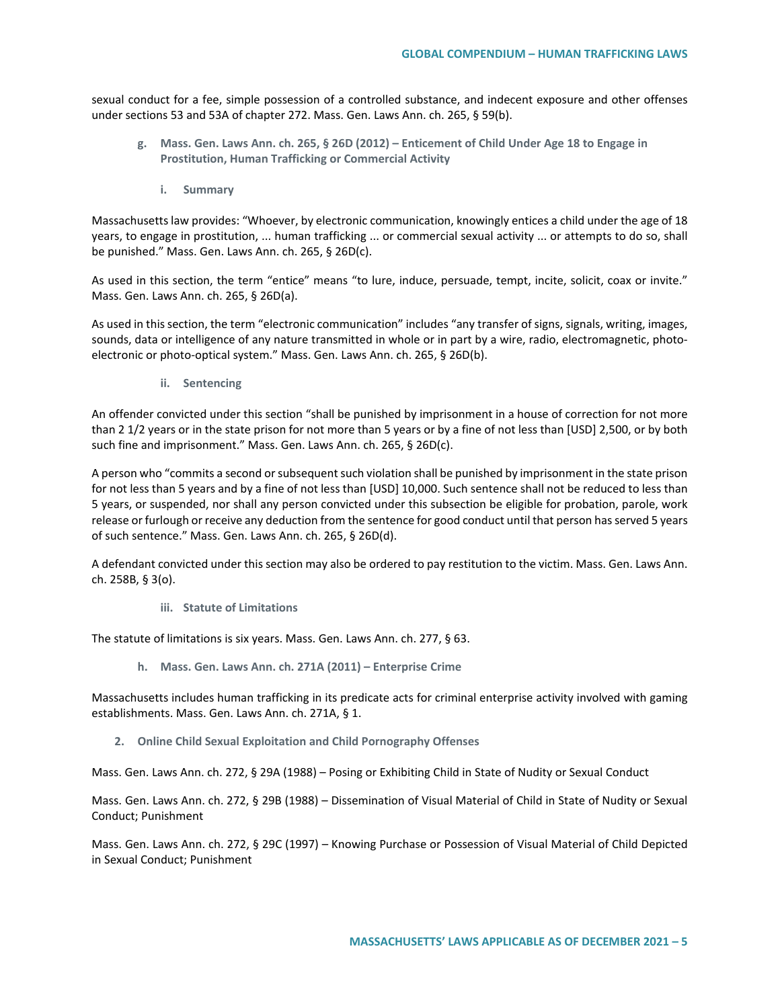sexual conduct for a fee, simple possession of a controlled substance, and indecent exposure and other offenses under sections 53 and 53A of chapter 272. Mass. Gen. Laws Ann. ch. 265, § 59(b).

- **g. Mass. Gen. Laws Ann. ch. 265, § 26D (2012) – Enticement of Child Under Age 18 to Engage in Prostitution, Human Trafficking or Commercial Activity** 
	- **i. Summary**

Massachusetts law provides: "Whoever, by electronic communication, knowingly entices a child under the age of 18 years, to engage in prostitution, ... human trafficking ... or commercial sexual activity ... or attempts to do so, shall be punished." Mass. Gen. Laws Ann. ch. 265, § 26D(c).

As used in this section, the term "entice" means "to lure, induce, persuade, tempt, incite, solicit, coax or invite." Mass. Gen. Laws Ann. ch. 265, § 26D(a).

As used in this section, the term "electronic communication" includes "any transfer of signs, signals, writing, images, sounds, data or intelligence of any nature transmitted in whole or in part by a wire, radio, electromagnetic, photoelectronic or photo-optical system." Mass. Gen. Laws Ann. ch. 265, § 26D(b).

**ii. Sentencing**

An offender convicted under this section "shall be punished by imprisonment in a house of correction for not more than 2 1/2 years or in the state prison for not more than 5 years or by a fine of not less than [USD] 2,500, or by both such fine and imprisonment." Mass. Gen. Laws Ann. ch. 265, § 26D(c).

A person who "commits a second or subsequent such violation shall be punished by imprisonment in the state prison for not less than 5 years and by a fine of not less than [USD] 10,000. Such sentence shall not be reduced to less than 5 years, or suspended, nor shall any person convicted under this subsection be eligible for probation, parole, work release or furlough or receive any deduction from the sentence for good conduct until that person has served 5 years of such sentence." Mass. Gen. Laws Ann. ch. 265, § 26D(d).

A defendant convicted under this section may also be ordered to pay restitution to the victim. Mass. Gen. Laws Ann. ch. 258B, § 3(o).

**iii. Statute of Limitations** 

The statute of limitations is six years. Mass. Gen. Laws Ann. ch. 277, § 63.

**h. Mass. Gen. Laws Ann. ch. 271A (2011) – Enterprise Crime**

Massachusetts includes human trafficking in its predicate acts for criminal enterprise activity involved with gaming establishments. Mass. Gen. Laws Ann. ch. 271A, § 1.

**2. Online Child Sexual Exploitation and Child Pornography Offenses**

Mass. Gen. Laws Ann. ch. 272, § 29A (1988) – Posing or Exhibiting Child in State of Nudity or Sexual Conduct

Mass. Gen. Laws Ann. ch. 272, § 29B (1988) – Dissemination of Visual Material of Child in State of Nudity or Sexual Conduct; Punishment

Mass. Gen. Laws Ann. ch. 272, § 29C (1997) – Knowing Purchase or Possession of Visual Material of Child Depicted in Sexual Conduct; Punishment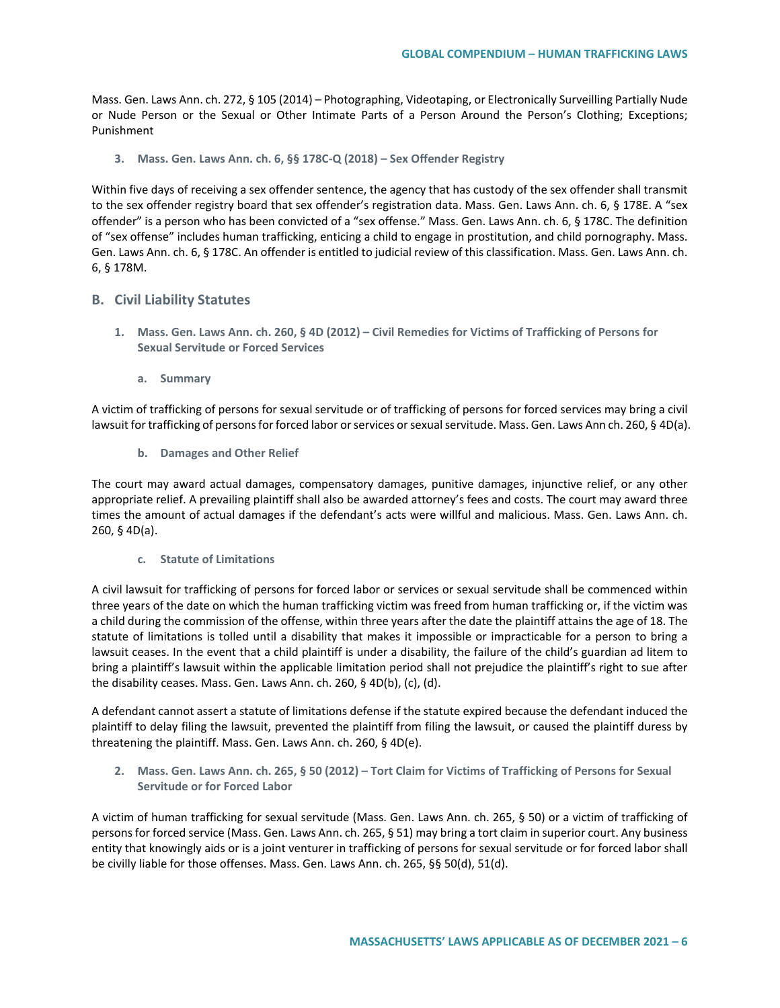Mass. Gen. Laws Ann. ch. 272, § 105 (2014) – Photographing, Videotaping, or Electronically Surveilling Partially Nude or Nude Person or the Sexual or Other Intimate Parts of a Person Around the Person's Clothing; Exceptions; Punishment

**3. Mass. Gen. Laws Ann. ch. 6, §§ 178C-Q (2018) – Sex Offender Registry** 

Within five days of receiving a sex offender sentence, the agency that has custody of the sex offender shall transmit to the sex offender registry board that sex offender's registration data. Mass. Gen. Laws Ann. ch. 6, § 178E. A "sex offender" is a person who has been convicted of a "sex offense." Mass. Gen. Laws Ann. ch. 6, § 178C. The definition of "sex offense" includes human trafficking, enticing a child to engage in prostitution, and child pornography. Mass. Gen. Laws Ann. ch. 6, § 178C. An offender is entitled to judicial review of this classification. Mass. Gen. Laws Ann. ch. 6, § 178M.

## **B. Civil Liability Statutes**

- **1. Mass. Gen. Laws Ann. ch. 260, § 4D (2012) – Civil Remedies for Victims of Trafficking of Persons for Sexual Servitude or Forced Services**
	- **a. Summary**

A victim of trafficking of persons for sexual servitude or of trafficking of persons for forced services may bring a civil lawsuit for trafficking of persons for forced labor or services or sexual servitude. Mass. Gen. Laws Ann ch. 260, § 4D(a).

**b. Damages and Other Relief** 

The court may award actual damages, compensatory damages, punitive damages, injunctive relief, or any other appropriate relief. A prevailing plaintiff shall also be awarded attorney's fees and costs. The court may award three times the amount of actual damages if the defendant's acts were willful and malicious. Mass. Gen. Laws Ann. ch. 260, § 4D(a).

**c. Statute of Limitations** 

A civil lawsuit for trafficking of persons for forced labor or services or sexual servitude shall be commenced within three years of the date on which the human trafficking victim was freed from human trafficking or, if the victim was a child during the commission of the offense, within three years after the date the plaintiff attains the age of 18. The statute of limitations is tolled until a disability that makes it impossible or impracticable for a person to bring a lawsuit ceases. In the event that a child plaintiff is under a disability, the failure of the child's guardian ad litem to bring a plaintiff's lawsuit within the applicable limitation period shall not prejudice the plaintiff's right to sue after the disability ceases. Mass. Gen. Laws Ann. ch. 260, § 4D(b), (c), (d).

A defendant cannot assert a statute of limitations defense if the statute expired because the defendant induced the plaintiff to delay filing the lawsuit, prevented the plaintiff from filing the lawsuit, or caused the plaintiff duress by threatening the plaintiff. Mass. Gen. Laws Ann. ch. 260, § 4D(e).

**2. Mass. Gen. Laws Ann. ch. 265, § 50 (2012) – Tort Claim for Victims of Trafficking of Persons for Sexual Servitude or for Forced Labor**

A victim of human trafficking for sexual servitude (Mass. Gen. Laws Ann. ch. 265, § 50) or a victim of trafficking of persons for forced service (Mass. Gen. Laws Ann. ch. 265, § 51) may bring a tort claim in superior court. Any business entity that knowingly aids or is a joint venturer in trafficking of persons for sexual servitude or for forced labor shall be civilly liable for those offenses. Mass. Gen. Laws Ann. ch. 265, §§ 50(d), 51(d).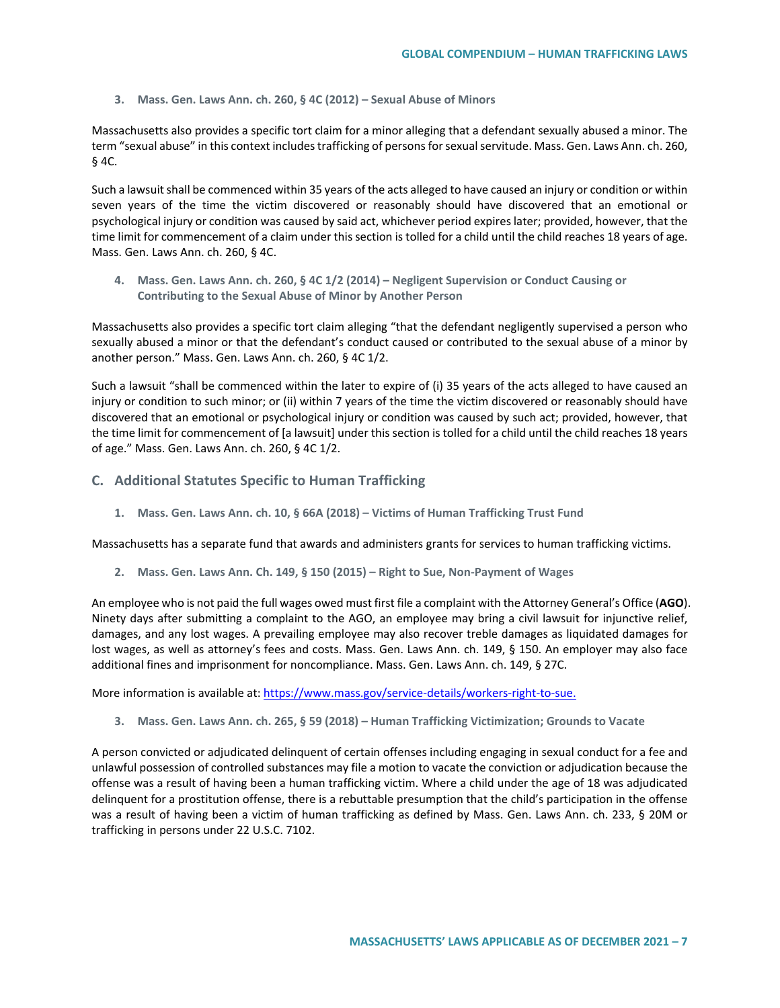**3. Mass. Gen. Laws Ann. ch. 260, § 4C (2012) – Sexual Abuse of Minors**

Massachusetts also provides a specific tort claim for a minor alleging that a defendant sexually abused a minor. The term "sexual abuse" in this context includes trafficking of persons for sexual servitude. Mass. Gen. Laws Ann. ch. 260, § 4C.

Such a lawsuit shall be commenced within 35 years of the acts alleged to have caused an injury or condition or within seven years of the time the victim discovered or reasonably should have discovered that an emotional or psychological injury or condition was caused by said act, whichever period expires later; provided, however, that the time limit for commencement of a claim under this section is tolled for a child until the child reaches 18 years of age. Mass. Gen. Laws Ann. ch. 260, § 4C.

**4. Mass. Gen. Laws Ann. ch. 260, § 4C 1/2 (2014) – Negligent Supervision or Conduct Causing or Contributing to the Sexual Abuse of Minor by Another Person**

Massachusetts also provides a specific tort claim alleging "that the defendant negligently supervised a person who sexually abused a minor or that the defendant's conduct caused or contributed to the sexual abuse of a minor by another person." Mass. Gen. Laws Ann. ch. 260, § 4C 1/2.

Such a lawsuit "shall be commenced within the later to expire of (i) 35 years of the acts alleged to have caused an injury or condition to such minor; or (ii) within 7 years of the time the victim discovered or reasonably should have discovered that an emotional or psychological injury or condition was caused by such act; provided, however, that the time limit for commencement of [a lawsuit] under this section is tolled for a child until the child reaches 18 years of age." Mass. Gen. Laws Ann. ch. 260, § 4C 1/2.

- **C. Additional Statutes Specific to Human Trafficking**
	- **1. Mass. Gen. Laws Ann. ch. 10, § 66A (2018) – Victims of Human Trafficking Trust Fund**

Massachusetts has a separate fund that awards and administers grants for services to human trafficking victims.

**2. Mass. Gen. Laws Ann. Ch. 149, § 150 (2015) – Right to Sue, Non-Payment of Wages**

An employee who is not paid the full wages owed must first file a complaint with the Attorney General's Office (**AGO**). Ninety days after submitting a complaint to the AGO, an employee may bring a civil lawsuit for injunctive relief, damages, and any lost wages. A prevailing employee may also recover treble damages as liquidated damages for lost wages, as well as attorney's fees and costs. Mass. Gen. Laws Ann. ch. 149, § 150. An employer may also face additional fines and imprisonment for noncompliance. Mass. Gen. Laws Ann. ch. 149, § 27C.

More information is available at: [https://www.mass.gov/service-details/workers-right-to-sue.](https://www.mass.gov/service-details/workers-right-to-sue)

**3. Mass. Gen. Laws Ann. ch. 265, § 59 (2018) – Human Trafficking Victimization; Grounds to Vacate**

A person convicted or adjudicated delinquent of certain offenses including engaging in sexual conduct for a fee and unlawful possession of controlled substances may file a motion to vacate the conviction or adjudication because the offense was a result of having been a human trafficking victim. Where a child under the age of 18 was adjudicated delinquent for a prostitution offense, there is a rebuttable presumption that the child's participation in the offense was a result of having been a victim of human trafficking as defined by Mass. Gen. Laws Ann. ch. 233, § 20M or trafficking in persons under 22 U.S.C. 7102.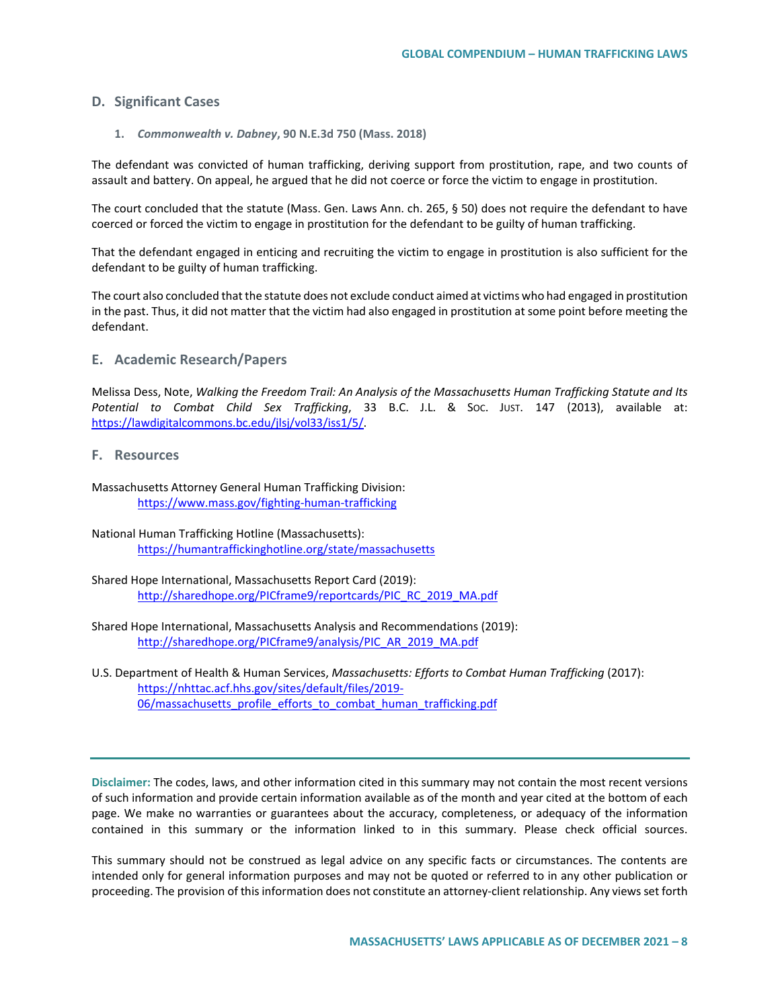### **D. Significant Cases**

#### **1.** *Commonwealth v. Dabney***, 90 N.E.3d 750 (Mass. 2018)**

The defendant was convicted of human trafficking, deriving support from prostitution, rape, and two counts of assault and battery. On appeal, he argued that he did not coerce or force the victim to engage in prostitution.

The court concluded that the statute (Mass. Gen. Laws Ann. ch. 265, § 50) does not require the defendant to have coerced or forced the victim to engage in prostitution for the defendant to be guilty of human trafficking.

That the defendant engaged in enticing and recruiting the victim to engage in prostitution is also sufficient for the defendant to be guilty of human trafficking.

The court also concluded that the statute does not exclude conduct aimed at victims who had engaged in prostitution in the past. Thus, it did not matter that the victim had also engaged in prostitution at some point before meeting the defendant.

#### **E. Academic Research/Papers**

Melissa Dess, Note, *Walking the Freedom Trail: An Analysis of the Massachusetts Human Trafficking Statute and Its Potential to Combat Child Sex Trafficking*, 33 B.C. J.L. & SOC. JUST. 147 (2013), available at: [https://lawdigitalcommons.bc.edu/jlsj/vol33/iss1/5/.](https://lawdigitalcommons.bc.edu/jlsj/vol33/iss1/5/)

### **F. Resources**

Massachusetts Attorney General Human Trafficking Division: <https://www.mass.gov/fighting-human-trafficking>

- National Human Trafficking Hotline (Massachusetts): <https://humantraffickinghotline.org/state/massachusetts>
- Shared Hope International, Massachusetts Report Card (2019): [http://sharedhope.org/PICframe9/reportcards/PIC\\_RC\\_2019\\_MA.pdf](http://sharedhope.org/PICframe9/reportcards/PIC_RC_2019_MA.pdf)
- Shared Hope International, Massachusetts Analysis and Recommendations (2019): [http://sharedhope.org/PICframe9/analysis/PIC\\_AR\\_2019\\_MA.pdf](http://sharedhope.org/PICframe9/analysis/PIC_AR_2019_MA.pdf)
- U.S. Department of Health & Human Services, *Massachusetts: Efforts to Combat Human Trafficking* (2017): [https://nhttac.acf.hhs.gov/sites/default/files/2019-](https://nhttac.acf.hhs.gov/sites/default/files/2019-06/massachusetts_profile_efforts_to_combat_human_trafficking.pdf) [06/massachusetts\\_profile\\_efforts\\_to\\_combat\\_human\\_trafficking.pdf](https://nhttac.acf.hhs.gov/sites/default/files/2019-06/massachusetts_profile_efforts_to_combat_human_trafficking.pdf)

**Disclaimer:** The codes, laws, and other information cited in this summary may not contain the most recent versions of such information and provide certain information available as of the month and year cited at the bottom of each page. We make no warranties or guarantees about the accuracy, completeness, or adequacy of the information contained in this summary or the information linked to in this summary. Please check official sources.

This summary should not be construed as legal advice on any specific facts or circumstances. The contents are intended only for general information purposes and may not be quoted or referred to in any other publication or proceeding. The provision of this information does not constitute an attorney-client relationship. Any views set forth